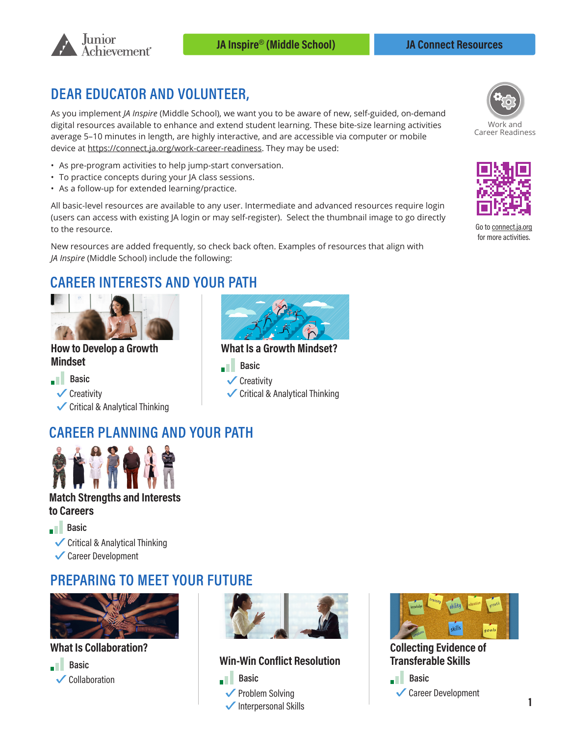

## **DEAR EDUCATOR AND VOLUNTEER,**

As you implement *JA Inspire* (Middle School), we want you to be aware of new, self-guided, on-demand digital resources available to enhance and extend student learning. These bite-size learning activities average 5–10 minutes in length, are highly interactive, and are accessible via computer or mobile device at [https://connect.ja.org/work-career-readiness.](https://connect.ja.org/work-career-readiness) They may be used:

- As pre-program activities to help jump-start conversation.
- To practice concepts during your JA class sessions.
- As a follow-up for extended learning/practice.

All basic-level resources are available to any user. Intermediate and advanced resources require login (users can access with existing JA login or may self-register). Select the thumbnail image to go directly to the resource.

New resources are added frequently, so check back often. Examples of resources that align with *JA Inspire* (Middle School) include the following:

# **CAREER INTERESTS AND YOUR PATH**



#### **How to Develop a Growth Mindset**

**Basic ✓**Creativity **✓**Critical & Analytical Thinking



**What Is a Growth Mindset?** 

- **Basic**
- **✓**Creativity
- **✓**Critical & Analytical Thinking

# **[CAREER PLANNING AND](https://connect.ja.org/work-career-readiness/whats-work-like/choose-a-career-investigate-myself/match-strengths-and-interests-to-careers) YOUR PATH**



#### **Match Strengths and Interests to Careers**

**Basic** 

**✓**Critical & Analytical Thinking

**✓**Career Development

## **PREPARING TO MEET YOUR FUTURE**



**What Is Collaboration?**





### **Win-Win Conflict Resolution**





**Collecting Evidence of Transferable Skills** 





Work and Career Readiness



Go to connect for more activities.